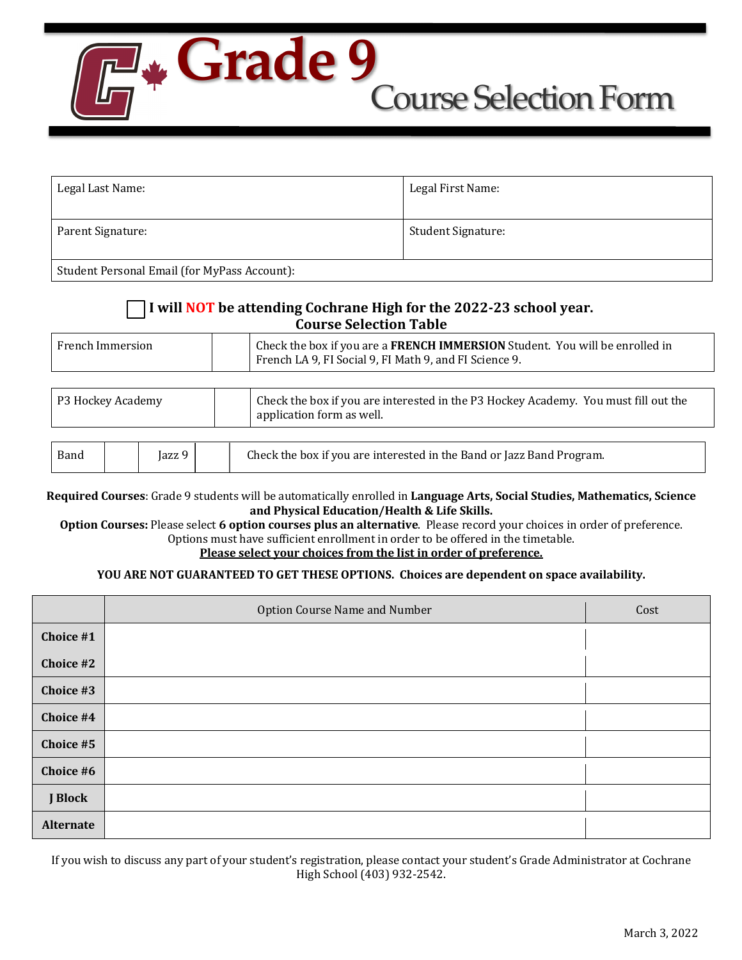## Course Selection Form **Grade 9**

| Legal Last Name:                             | Legal First Name:         |
|----------------------------------------------|---------------------------|
| Parent Signature:                            | <b>Student Signature:</b> |
| Student Personal Email (for MyPass Account): |                           |

## I will **NOT** be attending Cochrane High for the 2022-23 school year. **Course Selection Table**

| French Immersion |  | Check the box if you are a <b>FRENCH IMMERSION</b> Student. You will be enrolled in<br>French LA 9, FI Social 9, FI Math 9, and FI Science 9. |
|------------------|--|-----------------------------------------------------------------------------------------------------------------------------------------------|
|------------------|--|-----------------------------------------------------------------------------------------------------------------------------------------------|

| P3 Hockey Academy |        | Check the box if you are interested in the P3 Hockey Academy. You must fill out the<br>application form as well. |  |
|-------------------|--------|------------------------------------------------------------------------------------------------------------------|--|
|                   |        |                                                                                                                  |  |
| Band              | Jazz 9 | Check the box if you are interested in the Band or Jazz Band Program.                                            |  |

Required Courses: Grade 9 students will be automatically enrolled in Language Arts, Social Studies, Mathematics, Science and Physical Education/Health & Life Skills.

**Option Courses:** Please select 6 option courses plus an alternative. Please record your choices in order of preference. Options must have sufficient enrollment in order to be offered in the timetable.

## Please select your choices from the list in order of preference.

## YOU ARE NOT GUARANTEED TO GET THESE OPTIONS. Choices are dependent on space availability.

|                  | Option Course Name and Number | Cost |
|------------------|-------------------------------|------|
| Choice #1        |                               |      |
| Choice #2        |                               |      |
| Choice #3        |                               |      |
| Choice #4        |                               |      |
| Choice #5        |                               |      |
| Choice #6        |                               |      |
| J Block          |                               |      |
| <b>Alternate</b> |                               |      |

If you wish to discuss any part of your student's registration, please contact your student's Grade Administrator at Cochrane High School (403) 932-2542.